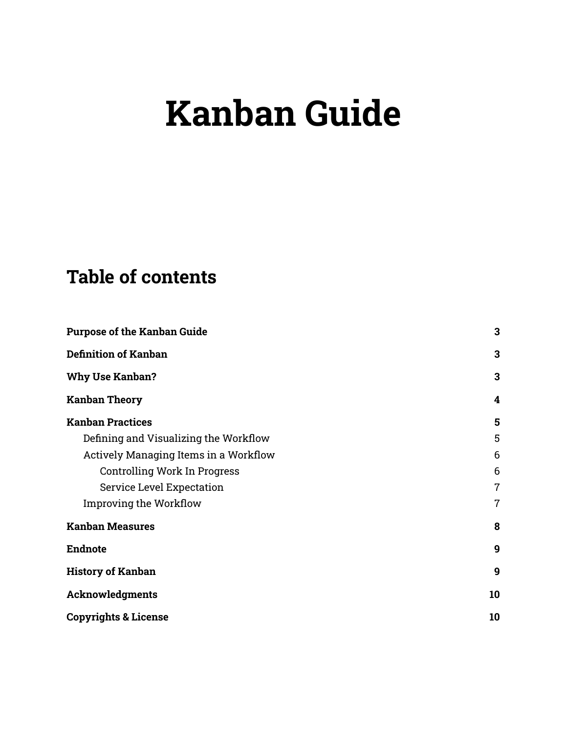# **Kanban Guide**

## **Table of contents**

| <b>Purpose of the Kanban Guide</b>    | $\mathbf{3}$     |
|---------------------------------------|------------------|
| <b>Definition of Kanban</b>           | 3                |
| <b>Why Use Kanban?</b>                | 3                |
| <b>Kanban Theory</b>                  | 4                |
| <b>Kanban Practices</b>               | 5                |
| Defining and Visualizing the Workflow | 5                |
| Actively Managing Items in a Workflow | 6                |
| Controlling Work In Progress          | 6                |
| <b>Service Level Expectation</b>      | $\overline{7}$   |
| <b>Improving the Workflow</b>         | $\overline{7}$   |
| <b>Kanban Measures</b>                | 8                |
| <b>Endnote</b>                        | $\boldsymbol{9}$ |
| <b>History of Kanban</b>              | $\boldsymbol{9}$ |
| <b>Acknowledgments</b>                | 10               |
| <b>Copyrights &amp; License</b>       | 10               |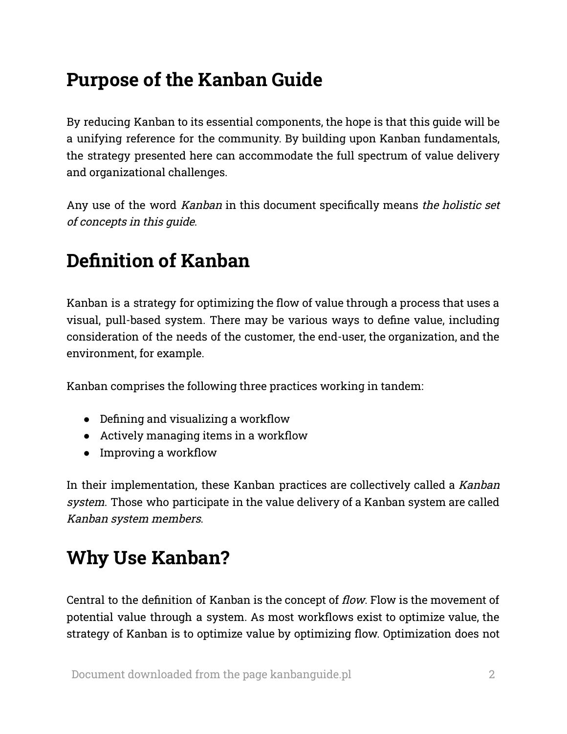## <span id="page-1-0"></span>**Purpose of the Kanban Guide**

By reducing Kanban to its essential components, the hope is that this guide will be a unifying reference for the community. By building upon Kanban fundamentals, the strategy presented here can accommodate the full spectrum of value delivery and organizational challenges.

Any use of the word Kanban in this document specifically means the holistic set of concepts in this guide.

### <span id="page-1-1"></span>**Definition of Kanban**

Kanban is a strategy for optimizing the flow of value through a process that uses a visual, pull-based system. There may be various ways to define value, including consideration of the needs of the customer, the end-user, the organization, and the environment, for example.

Kanban comprises the following three practices working in tandem:

- Defining and visualizing a workflow
- Actively managing items in a workflow
- Improving a workflow

In their implementation, these Kanban practices are collectively called a Kanban system. Those who participate in the value delivery of a Kanban system are called Kanban system members.

### <span id="page-1-2"></span>**Why Use Kanban?**

Central to the definition of Kanban is the concept of flow. Flow is the movement of potential value through a system. As most workflows exist to optimize value, the strategy of Kanban is to optimize value by optimizing flow. Optimization does not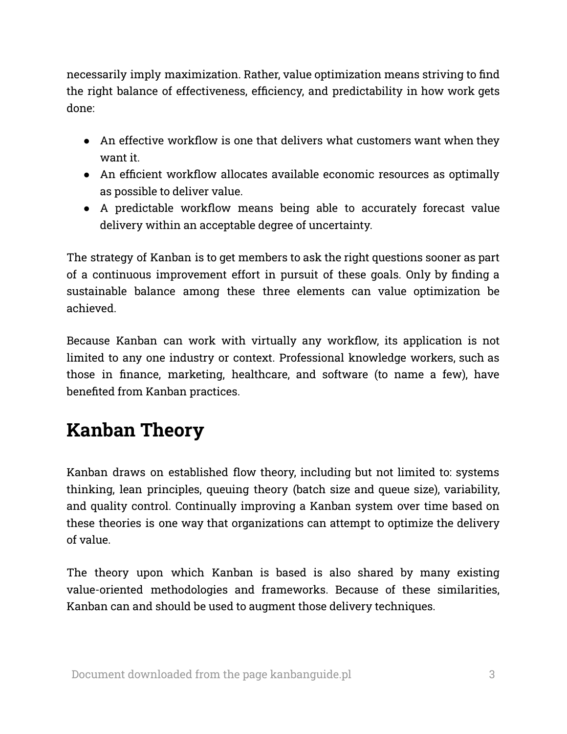necessarily imply maximization. Rather, value optimization means striving to find the right balance of effectiveness, efficiency, and predictability in how work gets done:

- An effective workflow is one that delivers what customers want when they want it.
- An efficient workflow allocates available economic resources as optimally as possible to deliver value.
- A predictable workflow means being able to accurately forecast value delivery within an acceptable degree of uncertainty.

The strategy of Kanban is to get members to ask the right questions sooner as part of a continuous improvement effort in pursuit of these goals. Only by finding a sustainable balance among these three elements can value optimization be achieved.

Because Kanban can work with virtually any workflow, its application is not limited to any one industry or context. Professional knowledge workers, such as those in finance, marketing, healthcare, and software (to name a few), have benefited from Kanban practices.

## <span id="page-2-0"></span>**Kanban Theory**

Kanban draws on established flow theory, including but not limited to: systems thinking, lean principles, queuing theory (batch size and queue size), variability, and quality control. Continually improving a Kanban system over time based on these theories is one way that organizations can attempt to optimize the delivery of value.

The theory upon which Kanban is based is also shared by many existing value-oriented methodologies and frameworks. Because of these similarities, Kanban can and should be used to augment those delivery techniques.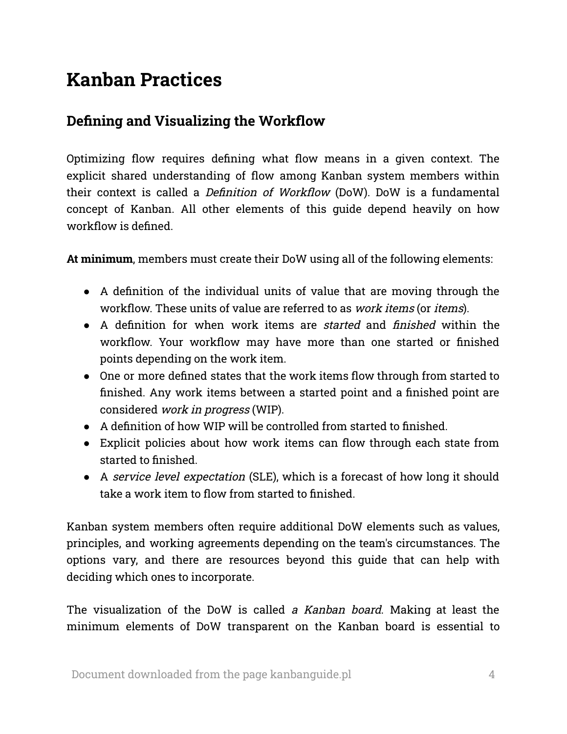### <span id="page-3-0"></span>**Kanban Practices**

### <span id="page-3-1"></span>**Defining and Visualizing the Workflow**

Optimizing flow requires defining what flow means in a given context. The explicit shared understanding of flow among Kanban system members within their context is called a Definition of Workflow (DoW). DoW is a fundamental concept of Kanban. All other elements of this guide depend heavily on how workflow is defined.

**At minimum**, members must create their DoW using all of the following elements:

- A definition of the individual units of value that are moving through the workflow. These units of value are referred to as work items (or items).
- A definition for when work items are *started* and *finished* within the workflow. Your workflow may have more than one started or finished points depending on the work item.
- One or more defined states that the work items flow through from started to finished. Any work items between a started point and a finished point are considered work in progress (WIP).
- A definition of how WIP will be controlled from started to finished.
- Explicit policies about how work items can flow through each state from started to finished.
- A service level expectation (SLE), which is a forecast of how long it should take a work item to flow from started to finished.

Kanban system members often require additional DoW elements such as values, principles, and working agreements depending on the team's circumstances. The options vary, and there are resources beyond this guide that can help with deciding which ones to incorporate.

The visualization of the DoW is called a Kanban board. Making at least the minimum elements of DoW transparent on the Kanban board is essential to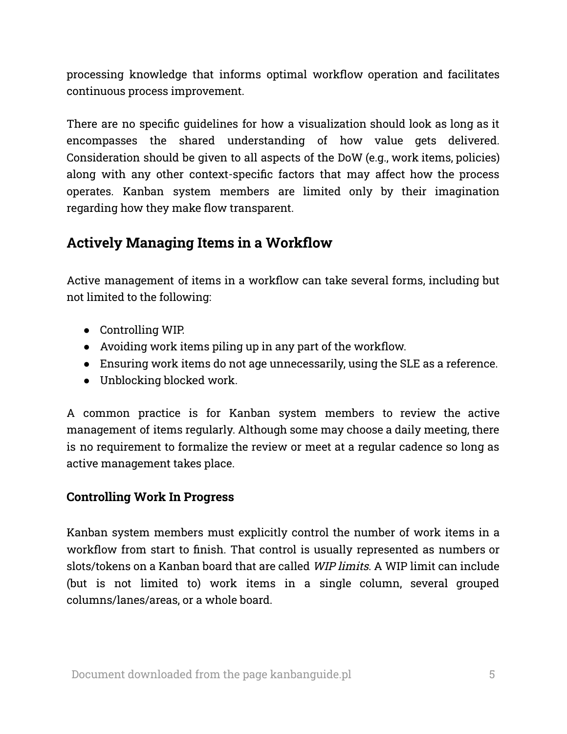processing knowledge that informs optimal workflow operation and facilitates continuous process improvement.

There are no specific guidelines for how a visualization should look as long as it encompasses the shared understanding of how value gets delivered. Consideration should be given to all aspects of the DoW (e.g., work items, policies) along with any other context-specific factors that may affect how the process operates. Kanban system members are limited only by their imagination regarding how they make flow transparent.

### <span id="page-4-0"></span>**Actively Managing Items in a Workflow**

Active management of items in a workflow can take several forms, including but not limited to the following:

- Controlling WIP.
- Avoiding work items piling up in any part of the workflow.
- Ensuring work items do not age unnecessarily, using the SLE as a reference.
- Unblocking blocked work.

A common practice is for Kanban system members to review the active management of items regularly. Although some may choose a daily meeting, there is no requirement to formalize the review or meet at a regular cadence so long as active management takes place.

#### <span id="page-4-1"></span>**Controlling Work In Progress**

Kanban system members must explicitly control the number of work items in a workflow from start to finish. That control is usually represented as numbers or slots/tokens on a Kanban board that are called *WIP limits*. A WIP limit can include (but is not limited to) work items in a single column, several grouped columns/lanes/areas, or a whole board.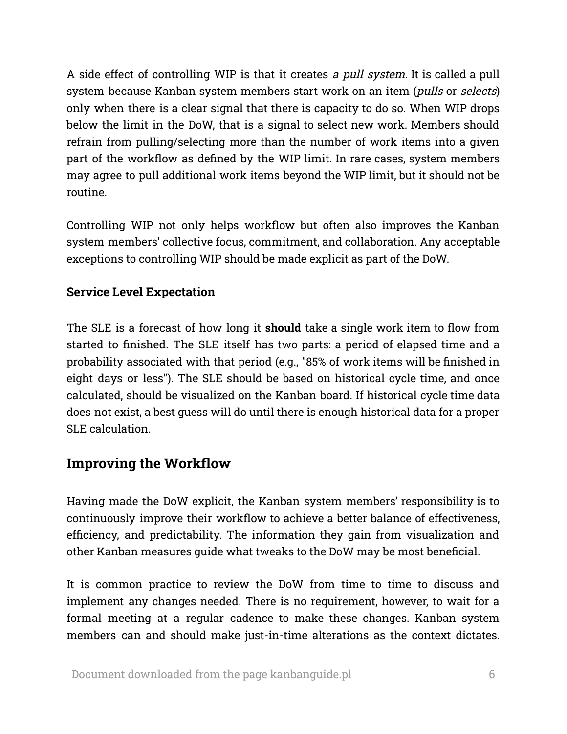A side effect of controlling WIP is that it creates <sup>a</sup> pull system. It is called a pull system because Kanban system members start work on an item (pulls or selects) only when there is a clear signal that there is capacity to do so. When WIP drops below the limit in the DoW, that is a signal to select new work. Members should refrain from pulling/selecting more than the number of work items into a given part of the workflow as defined by the WIP limit. In rare cases, system members may agree to pull additional work items beyond the WIP limit, but it should not be routine.

Controlling WIP not only helps workflow but often also improves the Kanban system members' collective focus, commitment, and collaboration. Any acceptable exceptions to controlling WIP should be made explicit as part of the DoW.

#### <span id="page-5-0"></span>**Service Level Expectation**

The SLE is a forecast of how long it **should** take a single work item to flow from started to finished. The SLE itself has two parts: a period of elapsed time and a probability associated with that period (e.g., "85% of work items will be finished in eight days or less"). The SLE should be based on historical cycle time, and once calculated, should be visualized on the Kanban board. If historical cycle time data does not exist, a best guess will do until there is enough historical data for a proper SLE calculation.

### <span id="page-5-1"></span>**Improving the Workflow**

Having made the DoW explicit, the Kanban system members' responsibility is to continuously improve their workflow to achieve a better balance of effectiveness, efficiency, and predictability. The information they gain from visualization and other Kanban measures guide what tweaks to the DoW may be most beneficial.

It is common practice to review the DoW from time to time to discuss and implement any changes needed. There is no requirement, however, to wait for a formal meeting at a regular cadence to make these changes. Kanban system members can and should make just-in-time alterations as the context dictates.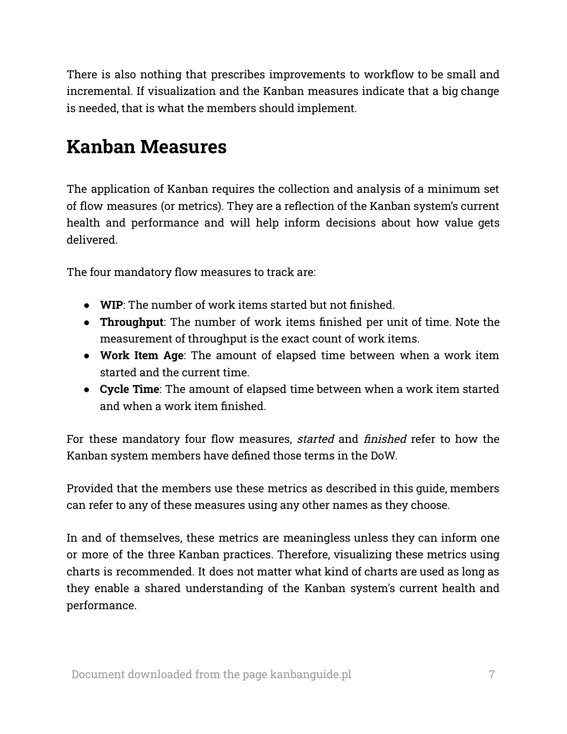There is also nothing that prescribes improvements to workflow to be small and incremental. If visualization and the Kanban measures indicate that a big change is needed, that is what the members should implement.

### <span id="page-6-0"></span>**Kanban Measures**

The application of Kanban requires the collection and analysis of a minimum set of flow measures (or metrics). They are a reflection of the Kanban system's current health and performance and will help inform decisions about how value gets delivered.

The four mandatory flow measures to track are:

- **WIP**: The number of work items started but not finished.
- **Throughput**: The number of work items finished per unit of time. Note the measurement of throughput is the exact count of work items.
- **Work Item Age**: The amount of elapsed time between when a work item started and the current time.
- **Cycle Time**: The amount of elapsed time between when a work item started and when a work item finished.

For these mandatory four flow measures, started and finished refer to how the Kanban system members have defined those terms in the DoW.

Provided that the members use these metrics as described in this guide, members can refer to any of these measures using any other names as they choose.

In and of themselves, these metrics are meaningless unless they can inform one or more of the three Kanban practices. Therefore, visualizing these metrics using charts is recommended. It does not matter what kind of charts are used as long as they enable a shared understanding of the Kanban system's current health and performance.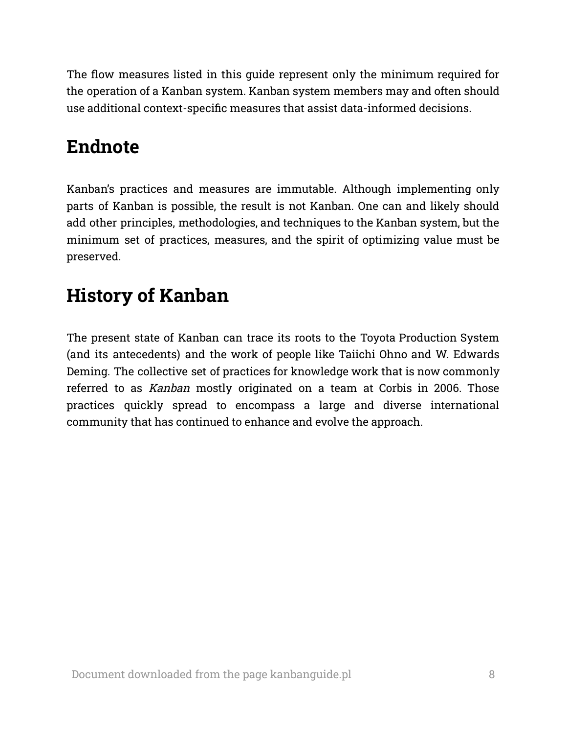The flow measures listed in this guide represent only the minimum required for the operation of a Kanban system. Kanban system members may and often should use additional context-specific measures that assist data-informed decisions.

### <span id="page-7-0"></span>**Endnote**

Kanban's practices and measures are immutable. Although implementing only parts of Kanban is possible, the result is not Kanban. One can and likely should add other principles, methodologies, and techniques to the Kanban system, but the minimum set of practices, measures, and the spirit of optimizing value must be preserved.

# <span id="page-7-1"></span>**History of Kanban**

The present state of Kanban can trace its roots to the Toyota Production System (and its antecedents) and the work of people like Taiichi Ohno and W. Edwards Deming. The collective set of practices for knowledge work that is now commonly referred to as Kanban mostly originated on a team at Corbis in 2006. Those practices quickly spread to encompass a large and diverse international community that has continued to enhance and evolve the approach.